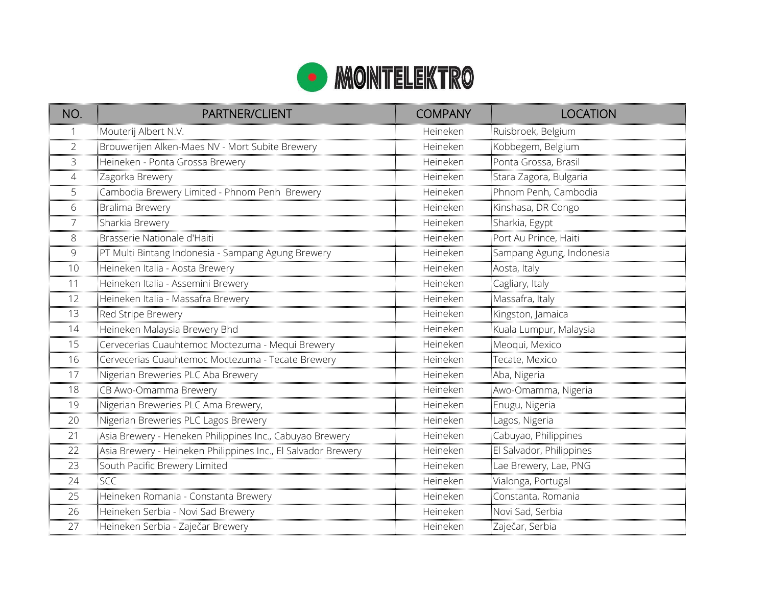

| NO.            | <b>PARTNER/CLIENT</b>                                         | <b>COMPANY</b> | <b>LOCATION</b>          |
|----------------|---------------------------------------------------------------|----------------|--------------------------|
| 1              | Mouterij Albert N.V.                                          | Heineken       | Ruisbroek, Belgium       |
| $\overline{2}$ | Brouwerijen Alken-Maes NV - Mort Subite Brewery               | Heineken       | Kobbegem, Belgium        |
| 3              | Heineken - Ponta Grossa Brewery                               | Heineken       | Ponta Grossa, Brasil     |
| 4              | Zagorka Brewery                                               | Heineken       | Stara Zagora, Bulgaria   |
| 5              | Cambodia Brewery Limited - Phnom Penh Brewery                 | Heineken       | Phnom Penh, Cambodia     |
| 6              | Bralima Brewery                                               | Heineken       | Kinshasa, DR Congo       |
| 7              | Sharkia Brewery                                               | Heineken       | Sharkia, Egypt           |
| 8              | Brasserie Nationale d'Haiti                                   | Heineken       | Port Au Prince, Haiti    |
| 9              | PT Multi Bintang Indonesia - Sampang Agung Brewery            | Heineken       | Sampang Agung, Indonesia |
| 10             | Heineken Italia - Aosta Brewery                               | Heineken       | Aosta, Italy             |
| 11             | Heineken Italia - Assemini Brewery                            | Heineken       | Cagliary, Italy          |
| 12             | Heineken Italia - Massafra Brewery                            | Heineken       | Massafra, Italy          |
| 13             | Red Stripe Brewery                                            | Heineken       | Kingston, Jamaica        |
| 14             | Heineken Malaysia Brewery Bhd                                 | Heineken       | Kuala Lumpur, Malaysia   |
| 15             | Cervecerias Cuauhtemoc Moctezuma - Mequi Brewery              | Heineken       | Meoqui, Mexico           |
| 16             | Cervecerias Cuauhtemoc Moctezuma - Tecate Brewery             | Heineken       | Tecate, Mexico           |
| 17             | Nigerian Breweries PLC Aba Brewery                            | Heineken       | Aba, Nigeria             |
| 18             | CB Awo-Omamma Brewery                                         | Heineken       | Awo-Omamma, Nigeria      |
| 19             | Nigerian Breweries PLC Ama Brewery,                           | Heineken       | Enugu, Nigeria           |
| 20             | Nigerian Breweries PLC Lagos Brewery                          | Heineken       | Lagos, Nigeria           |
| 21             | Asia Brewery - Heneken Philippines Inc., Cabuyao Brewery      | Heineken       | Cabuyao, Philippines     |
| 22             | Asia Brewery - Heineken Philippines Inc., El Salvador Brewery | Heineken       | El Salvador, Philippines |
| 23             | South Pacific Brewery Limited                                 | Heineken       | Lae Brewery, Lae, PNG    |
| 24             | <b>SCC</b>                                                    | Heineken       | Vialonga, Portugal       |
| 25             | Heineken Romania - Constanta Brewery                          | Heineken       | Constanta, Romania       |
| 26             | Heineken Serbia - Novi Sad Brewery                            | Heineken       | Novi Sad, Serbia         |
| 27             | Heineken Serbia - Zaječar Brewery                             | Heineken       | Zaječar, Serbia          |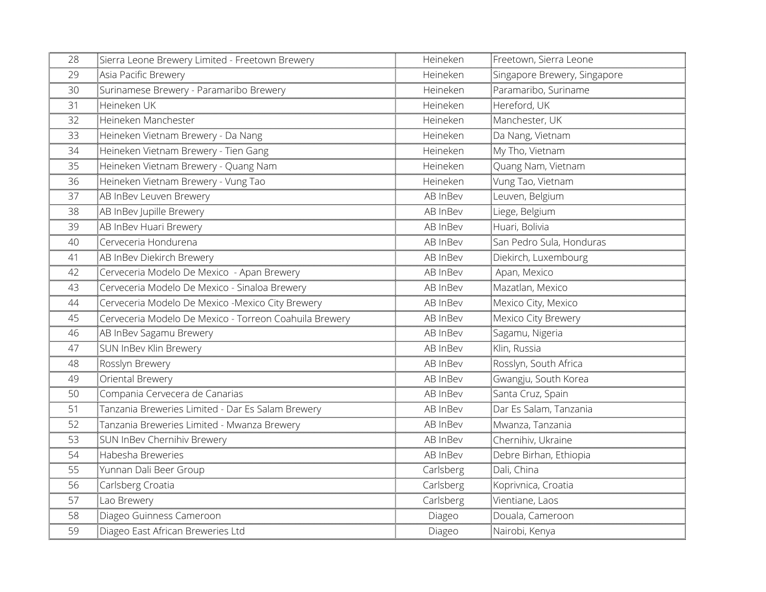| 28 | Sierra Leone Brewery Limited - Freetown Brewery        | Heineken  | Freetown, Sierra Leone       |
|----|--------------------------------------------------------|-----------|------------------------------|
| 29 | Asia Pacific Brewery                                   | Heineken  | Singapore Brewery, Singapore |
| 30 | Surinamese Brewery - Paramaribo Brewery                | Heineken  | Paramaribo, Suriname         |
| 31 | Heineken UK                                            | Heineken  | Hereford, UK                 |
| 32 | Heineken Manchester                                    | Heineken  | Manchester, UK               |
| 33 | Heineken Vietnam Brewery - Da Nang                     | Heineken  | Da Nang, Vietnam             |
| 34 | Heineken Vietnam Brewery - Tien Gang                   | Heineken  | My Tho, Vietnam              |
| 35 | Heineken Vietnam Brewery - Quang Nam                   | Heineken  | Quang Nam, Vietnam           |
| 36 | Heineken Vietnam Brewery - Vung Tao                    | Heineken  | Vung Tao, Vietnam            |
| 37 | AB InBev Leuven Brewery                                | AB InBev  | Leuven, Belgium              |
| 38 | AB InBev Jupille Brewery                               | AB InBev  | Liege, Belgium               |
| 39 | AB InBev Huari Brewery                                 | AB InBev  | Huari, Bolivia               |
| 40 | Cerveceria Hondurena                                   | AB InBev  | San Pedro Sula, Honduras     |
| 41 | AB InBev Diekirch Brewery                              | AB InBev  | Diekirch, Luxembourg         |
| 42 | Cerveceria Modelo De Mexico - Apan Brewery             | AB InBev  | Apan, Mexico                 |
| 43 | Cerveceria Modelo De Mexico - Sinaloa Brewery          | AB InBev  | Mazatlan, Mexico             |
| 44 | Cerveceria Modelo De Mexico -Mexico City Brewery       | AB InBev  | Mexico City, Mexico          |
| 45 | Cerveceria Modelo De Mexico - Torreon Coahuila Brewery | AB InBev  | Mexico City Brewery          |
| 46 | AB InBev Sagamu Brewery                                | AB InBev  | Sagamu, Nigeria              |
| 47 | SUN InBev Klin Brewery                                 | AB InBev  | Klin, Russia                 |
| 48 | Rosslyn Brewery                                        | AB InBev  | Rosslyn, South Africa        |
| 49 | Oriental Brewery                                       | AB InBev  | Gwangju, South Korea         |
| 50 | Compania Cervecera de Canarias                         | AB InBev  | Santa Cruz, Spain            |
| 51 | Tanzania Breweries Limited - Dar Es Salam Brewery      | AB InBev  | Dar Es Salam, Tanzania       |
| 52 | Tanzania Breweries Limited - Mwanza Brewery            | AB InBev  | Mwanza, Tanzania             |
| 53 | SUN InBev Chernihiv Brewery                            | AB InBev  | Chernihiv, Ukraine           |
| 54 | Habesha Breweries                                      | AB InBev  | Debre Birhan, Ethiopia       |
| 55 | Yunnan Dali Beer Group                                 | Carlsberg | Dali, China                  |
| 56 | Carlsberg Croatia                                      | Carlsberg | Koprivnica, Croatia          |
| 57 | Lao Brewery                                            | Carlsberg | Vientiane, Laos              |
| 58 | Diageo Guinness Cameroon                               | Diageo    | Douala, Cameroon             |
| 59 | Diageo East African Breweries Ltd                      | Diageo    | Nairobi, Kenya               |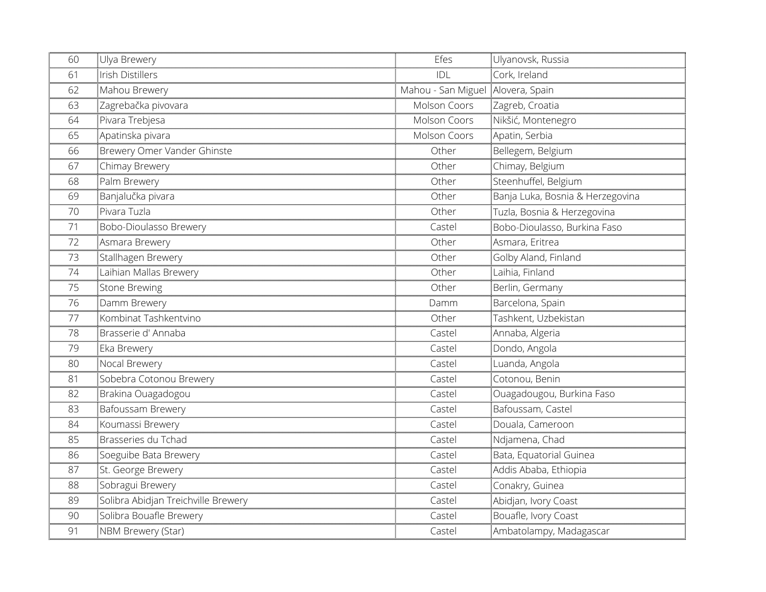| 60 | Ulya Brewery                        | Efes                              | Ulyanovsk, Russia                |
|----|-------------------------------------|-----------------------------------|----------------------------------|
| 61 | Irish Distillers                    | IDI                               | Cork, Ireland                    |
| 62 | Mahou Brewery                       | Mahou - San Miguel Alovera, Spain |                                  |
| 63 | Zagrebačka pivovara                 | Molson Coors                      | Zagreb, Croatia                  |
| 64 | Pivara Trebjesa                     | Molson Coors                      | Nikšić, Montenegro               |
| 65 | Apatinska pivara                    | Molson Coors                      | Apatin, Serbia                   |
| 66 | Brewery Omer Vander Ghinste         | Other                             | Bellegem, Belgium                |
| 67 | Chimay Brewery                      | Other                             | Chimay, Belgium                  |
| 68 | Palm Brewery                        | Other                             | Steenhuffel, Belgium             |
| 69 | Banjalučka pivara                   | Other                             | Banja Luka, Bosnia & Herzegovina |
| 70 | Pivara Tuzla                        | Other                             | Tuzla, Bosnia & Herzegovina      |
| 71 | Bobo-Dioulasso Brewery              | Castel                            | Bobo-Dioulasso, Burkina Faso     |
| 72 | Asmara Brewery                      | Other                             | Asmara, Eritrea                  |
| 73 | Stallhagen Brewery                  | Other                             | Golby Aland, Finland             |
| 74 | Laihian Mallas Brewery              | Other                             | Laihia, Finland                  |
| 75 | Stone Brewing                       | Other                             | Berlin, Germany                  |
| 76 | Damm Brewery                        | Damm                              | Barcelona, Spain                 |
| 77 | Kombinat Tashkentvino               | Other                             | Tashkent, Uzbekistan             |
| 78 | Brasserie d'Annaba                  | Castel                            | Annaba, Algeria                  |
| 79 | Eka Brewery                         | Castel                            | Dondo, Angola                    |
| 80 | Nocal Brewery                       | Castel                            | Luanda, Angola                   |
| 81 | Sobebra Cotonou Brewery             | Castel                            | Cotonou, Benin                   |
| 82 | Brakina Ouagadogou                  | Castel                            | Ouagadougou, Burkina Faso        |
| 83 | Bafoussam Brewery                   | Castel                            | Bafoussam, Castel                |
| 84 | Koumassi Brewery                    | Castel                            | Douala, Cameroon                 |
| 85 | Brasseries du Tchad                 | Castel                            | Ndjamena, Chad                   |
| 86 | Soeguibe Bata Brewery               | Castel                            | Bata, Equatorial Guinea          |
| 87 | St. George Brewery                  | Castel                            | Addis Ababa, Ethiopia            |
| 88 | Sobragui Brewery                    | Castel                            | Conakry, Guinea                  |
| 89 | Solibra Abidjan Treichville Brewery | Castel                            | Abidjan, Ivory Coast             |
| 90 | Solibra Bouafle Brewery             | Castel                            | Bouafle, Ivory Coast             |
| 91 | NBM Brewery (Star)                  | Castel                            | Ambatolampy, Madagascar          |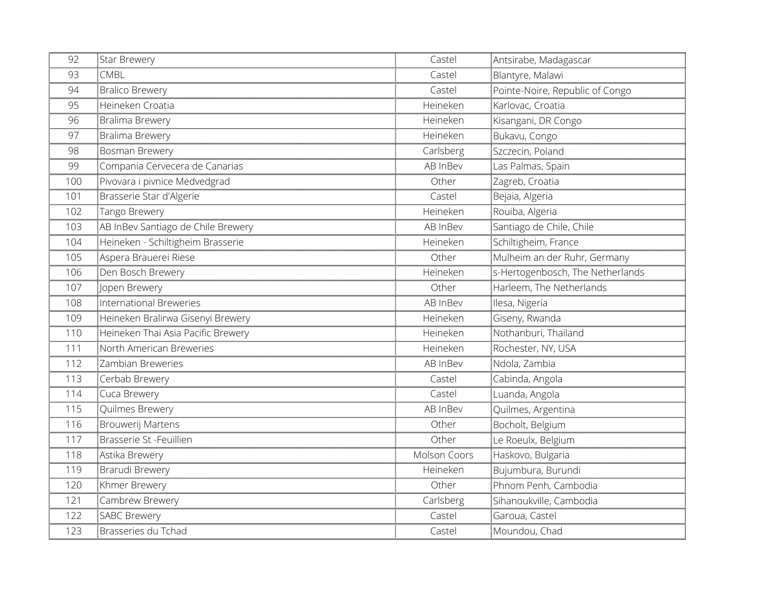| 92  | Star Brewery                       | Castel       | Antsirabe, Madagascar            |
|-----|------------------------------------|--------------|----------------------------------|
| 93  | <b>CMBL</b>                        | Castel       | Blantyre, Malawi                 |
| 94  | <b>Bralico Brewery</b>             | Castel       | Pointe-Noire, Republic of Congo  |
| 95  | Heineken Croatia                   | Heineken     | Karlovac, Croatia                |
| 96  | Bralima Brewery                    | Heineken     | Kisangani, DR Congo              |
| 97  | Bralima Brewery                    | Heineken     | Bukavu, Congo                    |
| 98  | Bosman Brewery                     | Carlsberg    | Szczecin, Poland                 |
| 99  | Compania Cervecera de Canarias     | AB InBev     | Las Palmas, Spain                |
| 100 | Pivovara i pivnice Medvedgrad      | Other        | Zagreb, Croatia                  |
| 101 | Brasserie Star d'Algerie           | Castel       | Bejaia, Algeria                  |
| 102 | Tango Brewery                      | Heineken     | Rouiba, Algeria                  |
| 103 | AB InBev Santiago de Chile Brewery | AB InBev     | Santiago de Chile, Chile         |
| 104 | Heineken - Schiltigheim Brasserie  | Heineken     | Schiltigheim, France             |
| 105 | Aspera Brauerei Riese              | Other        | Mulheim an der Ruhr, Germany     |
| 106 | Den Bosch Brewery                  | Heineken     | s-Hertogenbosch, The Netherlands |
| 107 | Jopen Brewery                      | Other        | Harleem, The Netherlands         |
| 108 | International Breweries            | AB InBev     | Ilesa, Nigeria                   |
| 109 | Heineken Bralirwa Gisenyi Brewery  | Heineken     | Giseny, Rwanda                   |
| 110 | Heineken Thai Asia Pacific Brewery | Heineken     | Nothanburi, Thailand             |
| 111 | North American Breweries           | Heineken     | Rochester, NY, USA               |
| 112 | Zambian Breweries                  | AB InBev     | Ndola, Zambia                    |
| 113 | Cerbab Brewery                     | Castel       | Cabinda, Angola                  |
| 114 | Cuca Brewery                       | Castel       | Luanda, Angola                   |
| 115 | Quilmes Brewery                    | AB InBev     | Quilmes, Argentina               |
| 116 | Brouwerij Martens                  | Other        | Bocholt, Belgium                 |
| 117 | Brasserie St -Feuillien            | Other        | Le Roeulx, Belgium               |
| 118 | Astika Brewery                     | Molson Coors | Haskovo, Bulgaria                |
| 119 | Brarudi Brewery                    | Heineken     | Bujumbura, Burundi               |
| 120 | Khmer Brewery                      | Other        | Phnom Penh, Cambodia             |
| 121 | Cambrew Brewery                    | Carlsberg    | Sihanoukville, Cambodia          |
| 122 | <b>SABC Brewery</b>                | Castel       | Garoua, Castel                   |
| 123 | Brasseries du Tchad                | Castel       | Moundou, Chad                    |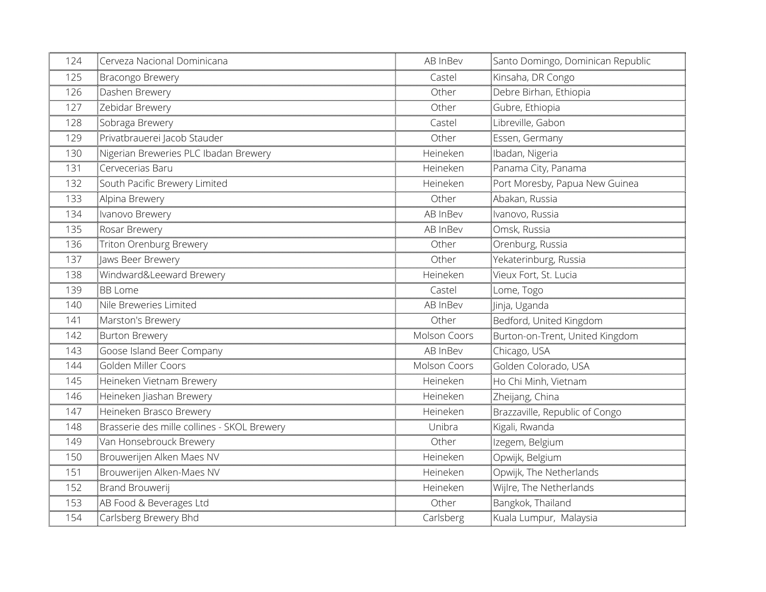| 124 | Cerveza Nacional Dominicana                 | AB InBev     | Santo Domingo, Dominican Republic |
|-----|---------------------------------------------|--------------|-----------------------------------|
| 125 | Bracongo Brewery                            | Castel       | Kinsaha, DR Congo                 |
| 126 | Dashen Brewery                              | Other        | Debre Birhan, Ethiopia            |
| 127 | Zebidar Brewery                             | Other        | Gubre, Ethiopia                   |
| 128 | Sobraga Brewery                             | Castel       | Libreville, Gabon                 |
| 129 | Privatbrauerei Jacob Stauder                | Other        | Essen, Germany                    |
| 130 | Nigerian Breweries PLC Ibadan Brewery       | Heineken     | Ibadan, Nigeria                   |
| 131 | Cervecerias Baru                            | Heineken     | Panama City, Panama               |
| 132 | South Pacific Brewery Limited               | Heineken     | Port Moresby, Papua New Guinea    |
| 133 | Alpina Brewery                              | Other        | Abakan, Russia                    |
| 134 | Ivanovo Brewery                             | AB InBev     | Ivanovo, Russia                   |
| 135 | Rosar Brewery                               | AB InBev     | Omsk, Russia                      |
| 136 | Triton Orenburg Brewery                     | Other        | Orenburg, Russia                  |
| 137 | Jaws Beer Brewery                           | Other        | THE Yekaterinburg, Russia         |
| 138 | Windward&Leeward Brewery                    | Heineken     | Vieux Fort, St. Lucia             |
| 139 | <b>BB Lome</b>                              | Castel       | Lome, Togo                        |
| 140 | Nile Breweries Limited                      | AB InBev     | Jinja, Uganda                     |
| 141 | Marston's Brewery                           | Other        | Bedford, United Kingdom           |
| 142 | <b>Burton Brewery</b>                       | Molson Coors | Burton-on-Trent, United Kingdom   |
| 143 | Goose Island Beer Company                   | AB InBev     | Chicago, USA                      |
| 144 | Golden Miller Coors                         | Molson Coors | Golden Colorado, USA              |
| 145 | Heineken Vietnam Brewery                    | Heineken     | Ho Chi Minh, Vietnam              |
| 146 | Heineken Jiashan Brewery                    | Heineken     | Zheijang, China                   |
| 147 | Heineken Brasco Brewery                     | Heineken     | Brazzaville, Republic of Congo    |
| 148 | Brasserie des mille collines - SKOL Brewery | Unibra       | Kigali, Rwanda                    |
| 149 | Van Honsebrouck Brewery                     | Other        | Izegem, Belgium                   |
| 150 | Brouwerijen Alken Maes NV                   | Heineken     | Opwijk, Belgium                   |
| 151 | Brouwerijen Alken-Maes NV                   | Heineken     | Opwijk, The Netherlands           |
| 152 | Brand Brouwerij                             | Heineken     | Wijlre, The Netherlands           |
| 153 | AB Food & Beverages Ltd                     | Other        | Bangkok, Thailand                 |
| 154 | Carlsberg Brewery Bhd                       | Carlsberg    | Kuala Lumpur, Malaysia            |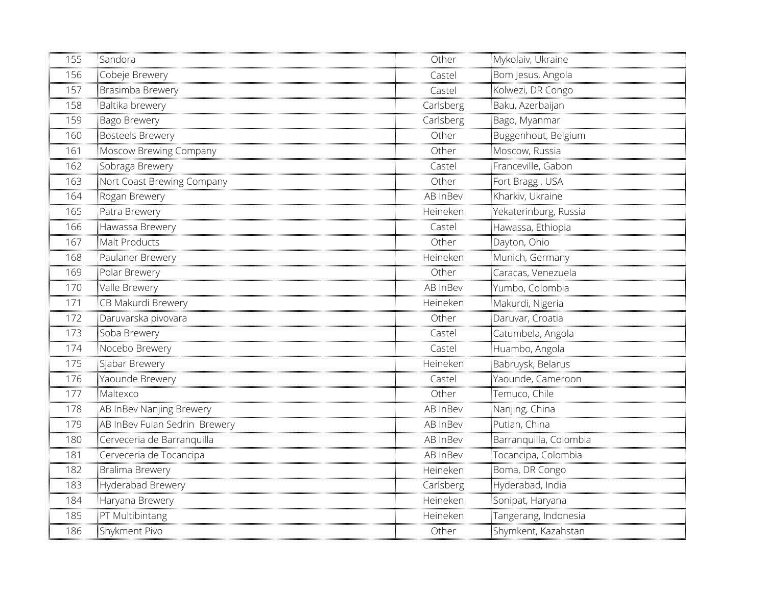| 155 | Sandora                       | Other     | Mykolaiv, Ukraine      |
|-----|-------------------------------|-----------|------------------------|
| 156 | Cobeje Brewery                | Castel    | Bom Jesus, Angola      |
| 157 | Brasimba Brewery              | Castel    | Kolwezi, DR Congo      |
| 158 | Baltika brewery               | Carlsberg | Baku, Azerbaijan       |
| 159 | Bago Brewery                  | Carlsberg | Bago, Myanmar          |
| 160 | <b>Bosteels Brewery</b>       | Other     | Buggenhout, Belgium    |
| 161 | Moscow Brewing Company        | Other     | Moscow, Russia         |
| 162 | Sobraga Brewery               | Castel    | Franceville, Gabon     |
| 163 | Nort Coast Brewing Company    | Other     | Fort Bragg, USA        |
| 164 | Rogan Brewery                 | AB InBev  | Kharkiv, Ukraine       |
| 165 | Patra Brewery                 | Heineken  | Yekaterinburg, Russia  |
| 166 | Hawassa Brewery               | Castel    | Hawassa, Ethiopia      |
| 167 | Malt Products                 | Other     | Dayton, Ohio           |
| 168 | Paulaner Brewery              | Heineken  | Munich, Germany        |
| 169 | Polar Brewery                 | Other     | Caracas, Venezuela     |
| 170 | Valle Brewery                 | AB InBev  | Yumbo, Colombia        |
| 171 | CB Makurdi Brewery            | Heineken  | Makurdi, Nigeria       |
| 172 | Daruvarska pivovara           | Other     | Daruvar, Croatia       |
| 173 | Soba Brewery                  | Castel    | Catumbela, Angola      |
| 174 | Nocebo Brewery                | Castel    | Huambo, Angola         |
| 175 | Sjabar Brewery                | Heineken  | Babruysk, Belarus      |
| 176 | Yaounde Brewery               | Castel    | Yaounde, Cameroon      |
| 177 | Maltexco                      | Other     | Temuco, Chile          |
| 178 | AB InBev Nanjing Brewery      | AB InBev  | Nanjing, China         |
| 179 | AB InBev Fuian Sedrin Brewery | AB InBev  | Putian, China          |
| 180 | Cerveceria de Barranquilla    | AB InBev  | Barranquilla, Colombia |
| 181 | Cerveceria de Tocancipa       | AB InBev  | Tocancipa, Colombia    |
| 182 | <b>Bralima Brewery</b>        | Heineken  | Boma, DR Congo         |
| 183 | Hyderabad Brewery             | Carlsberg | Hyderabad, India       |
| 184 | Haryana Brewery               | Heineken  | Sonipat, Haryana       |
| 185 | PT Multibintang               | Heineken  | Tangerang, Indonesia   |
| 186 | Shykment Pivo                 | Other     | Shymkent, Kazahstan    |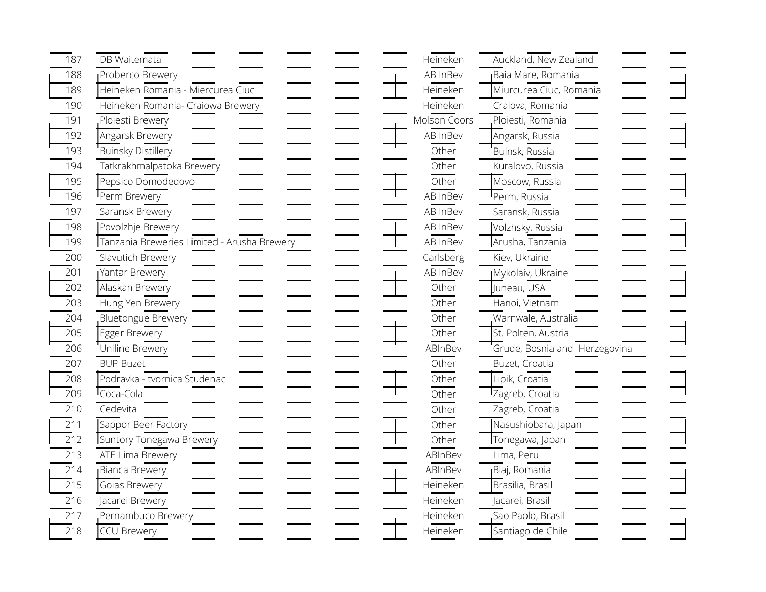| 187 | <b>DB</b> Waitemata                         | Heineken     | Auckland, New Zealand         |
|-----|---------------------------------------------|--------------|-------------------------------|
| 188 | Proberco Brewery                            | AB InBev     | Baia Mare, Romania            |
| 189 | Heineken Romania - Miercurea Ciuc           | Heineken     | Miurcurea Ciuc, Romania       |
| 190 | Heineken Romania- Craiowa Brewery           | Heineken     | Craiova, Romania              |
| 191 | Ploiesti Brewery                            | Molson Coors | Ploiesti, Romania             |
| 192 | Angarsk Brewery                             | AB InBev     | Angarsk, Russia               |
| 193 | <b>Buinsky Distillery</b>                   | Other        | Buinsk, Russia                |
| 194 | Tatkrakhmalpatoka Brewery                   | Other        | Kuralovo, Russia              |
| 195 | Pepsico Domodedovo                          | Other        | Moscow, Russia                |
| 196 | Perm Brewery                                | AB InBev     | Perm, Russia                  |
| 197 | Saransk Brewery                             | AB InBev     | Saransk, Russia               |
| 198 | Povolzhje Brewery                           | AB InBev     | Volzhsky, Russia              |
| 199 | Tanzania Breweries Limited - Arusha Brewery | AB InBev     | Arusha, Tanzania              |
| 200 | Slavutich Brewery                           | Carlsberg    | Kiev, Ukraine                 |
| 201 | Yantar Brewery                              | AB InBev     | Mykolaiv, Ukraine             |
| 202 | Alaskan Brewery                             | Other        | Juneau, USA                   |
| 203 | Hung Yen Brewery                            | Other        | Hanoi, Vietnam                |
| 204 | Bluetongue Brewery                          | Other        | Warnwale, Australia           |
| 205 | Egger Brewery                               | Other        | St. Polten, Austria           |
| 206 | Uniline Brewery                             | ABInBev      | Grude, Bosnia and Herzegovina |
| 207 | <b>BUP Buzet</b>                            | Other        | Buzet, Croatia                |
| 208 | Podravka - tvornica Studenac                | Other        | Lipik, Croatia                |
| 209 | Coca-Cola                                   | Other        | Zagreb, Croatia               |
| 210 | Cedevita                                    | Other        | Zagreb, Croatia               |
| 211 | Sappor Beer Factory                         | Other        | Nasushiobara, Japan           |
| 212 | Suntory Tonegawa Brewery                    | Other        | Tonegawa, Japan               |
| 213 | ATE Lima Brewery                            | ABInBev      | Lima, Peru                    |
| 214 | Bianca Brewery                              | ABInBev      | Blaj, Romania                 |
| 215 | Goias Brewery                               | Heineken     | Brasilia, Brasil              |
| 216 | Jacarei Brewery                             | Heineken     | Jacarei, Brasil               |
| 217 | Pernambuco Brewery                          | Heineken     | Sao Paolo, Brasil             |
| 218 | CCU Brewery                                 | Heineken     | Santiago de Chile             |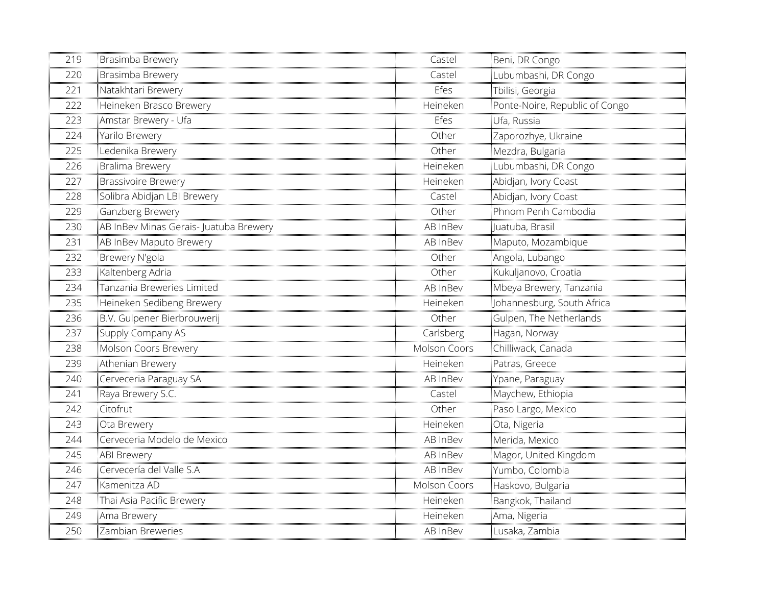| 219 | Brasimba Brewery                       | Castel       | Beni, DR Congo                 |
|-----|----------------------------------------|--------------|--------------------------------|
| 220 | Brasimba Brewery                       | Castel       | Lubumbashi, DR Congo           |
| 221 | Natakhtari Brewery                     | Efes         | Tbilisi, Georgia               |
| 222 | Heineken Brasco Brewery                | Heineken     | Ponte-Noire, Republic of Congo |
| 223 | Amstar Brewery - Ufa                   | Efes         | Ufa, Russia                    |
| 224 | Yarilo Brewery                         | Other        | Zaporozhye, Ukraine            |
| 225 | Ledenika Brewery                       | Other        | Mezdra, Bulgaria               |
| 226 | <b>Bralima Brewery</b>                 | Heineken     | Lubumbashi, DR Congo           |
| 227 | <b>Brassivoire Brewery</b>             | Heineken     | Abidjan, Ivory Coast           |
| 228 | Solibra Abidjan LBI Brewery            | Castel       | Abidjan, Ivory Coast           |
| 229 | Ganzberg Brewery                       | Other        | Phnom Penh Cambodia            |
| 230 | AB InBev Minas Gerais- Juatuba Brewery | AB InBev     | Juatuba, Brasil                |
| 231 | AB InBev Maputo Brewery                | AB InBev     | Maputo, Mozambique             |
| 232 | Brewery N'gola                         | Other        | Angola, Lubango                |
| 233 | Kaltenberg Adria                       | Other        | Kukuljanovo, Croatia           |
| 234 | Tanzania Breweries Limited             | AB InBev     | Mbeya Brewery, Tanzania        |
| 235 | Heineken Sedibeng Brewery              | Heineken     | Johannesburg, South Africa     |
| 236 | B.V. Gulpener Bierbrouwerij            | Other        | Gulpen, The Netherlands        |
| 237 | Supply Company AS                      | Carlsberg    | Hagan, Norway                  |
| 238 | Molson Coors Brewery                   | Molson Coors | Chilliwack, Canada             |
| 239 | Athenian Brewery                       | Heineken     | Patras, Greece                 |
| 240 | Cerveceria Paraguay SA                 | AB InBev     | Ypane, Paraguay                |
| 241 | Raya Brewery S.C.                      | Castel       | Maychew, Ethiopia              |
| 242 | Citofrut                               | Other        | Paso Largo, Mexico             |
| 243 | Ota Brewery                            | Heineken     | Ota, Nigeria                   |
| 244 | Cerveceria Modelo de Mexico            | AB InBev     | Merida, Mexico                 |
| 245 | ABI Brewery                            | AB InBev     | Magor, United Kingdom          |
| 246 | Cervecería del Valle S.A               | AB InBev     | Yumbo, Colombia                |
| 247 | Kamenitza AD                           | Molson Coors | Haskovo, Bulgaria              |
| 248 | Thai Asia Pacific Brewery              | Heineken     | Bangkok, Thailand              |
| 249 | Ama Brewery                            | Heineken     | Ama, Nigeria                   |
| 250 | Zambian Breweries                      | AB InBev     | Lusaka, Zambia                 |